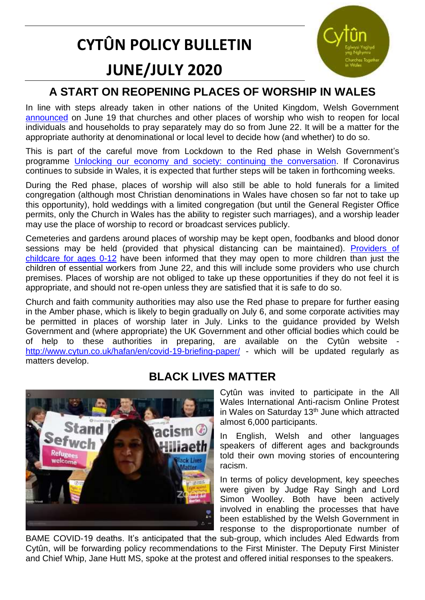# **CYTÛN POLICY BULLETIN JUNE/JULY 2020**



# **A START ON REOPENING PLACES OF WORSHIP IN WALES**

In line with steps already taken in other nations of the United Kingdom, Welsh Government [announced](https://gov.wales/coronavirus-regulations-changes-monday-22-june) on June 19 that churches and other places of worship who wish to reopen for local individuals and households to pray separately may do so from June 22. It will be a matter for the appropriate authority at denominational or local level to decide how (and whether) to do so.

This is part of the careful move from Lockdown to the Red phase in Welsh Government's programme [Unlocking our economy and society: continuing the conversation.](https://gov.wales/unlocking-our-society-and-economy-continuing-conversation) If Coronavirus continues to subside in Wales, it is expected that further steps will be taken in forthcoming weeks.

During the Red phase, places of worship will also still be able to hold funerals for a limited congregation (although most Christian denominations in Wales have chosen so far not to take up this opportunity), hold weddings with a limited congregation (but until the General Register Office permits, only the Church in Wales has the ability to register such marriages), and a worship leader may use the place of worship to record or broadcast services publicly.

Cemeteries and gardens around places of worship may be kept open, foodbanks and blood donor sessions may be held (provided that physical distancing can be maintained). [Providers of](https://gov.wales/protective-measures-childcare-settings-keep-childcare-safe)  [childcare for ages 0-12](https://gov.wales/protective-measures-childcare-settings-keep-childcare-safe) have been informed that they may open to more children than just the children of essential workers from June 22, and this will include some providers who use church premises. Places of worship are not obliged to take up these opportunities if they do not feel it is appropriate, and should not re-open unless they are satisfied that it is safe to do so.

Church and faith community authorities may also use the Red phase to prepare for further easing in the Amber phase, which is likely to begin gradually on July 6, and some corporate activities may be permitted in places of worship later in July. Links to the guidance provided by Welsh Government and (where appropriate) the UK Government and other official bodies which could be of help to these authorities in preparing, are available on the Cytûn website <http://www.cytun.co.uk/hafan/en/covid-19-briefing-paper/> - which will be updated regularly as matters develop.



## **BLACK LIVES MATTER**

Cytûn was invited to participate in the All Wales International Anti-racism Online Protest in Wales on Saturday 13<sup>th</sup> June which attracted almost 6,000 participants.

In English, Welsh and other languages speakers of different ages and backgrounds told their own moving stories of encountering racism.

In terms of policy development, key speeches were given by Judge Ray Singh and Lord Simon Woolley. Both have been actively involved in enabling the processes that have been established by the Welsh Government in response to the disproportionate number of

BAME COVID-19 deaths. It's anticipated that the sub-group, which includes Aled Edwards from Cytûn, will be forwarding policy recommendations to the First Minister. The Deputy First Minister and Chief Whip, Jane Hutt MS, spoke at the protest and offered initial responses to the speakers.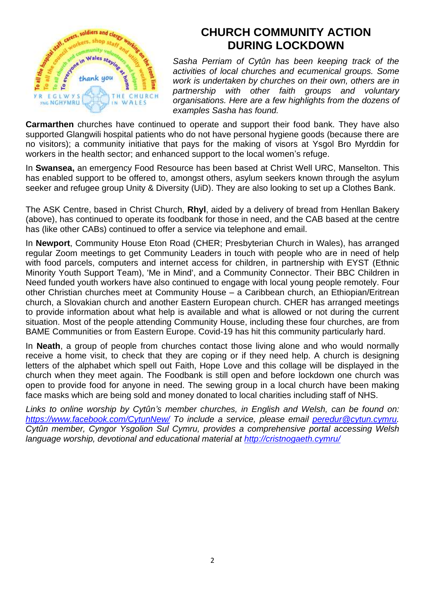

### **CHURCH COMMUNITY ACTION DURING LOCKDOWN**

*Sasha Perriam of Cytûn has been keeping track of the activities of local churches and ecumenical groups. Some work is undertaken by churches on their own, others are in partnership with other faith groups and voluntary organisations. Here are a few highlights from the dozens of examples Sasha has found.*

**Carmarthen** churches have continued to operate and support their food bank. They have also supported Glangwili hospital patients who do not have personal hygiene goods (because there are no visitors); a community initiative that pays for the making of visors at Ysgol Bro Myrddin for workers in the health sector; and enhanced support to the local women's refuge.

In **Swansea,** an emergency Food Resource has been based at Christ Well URC, Manselton. This has enabled support to be offered to, amongst others, asylum seekers known through the asylum seeker and refugee group Unity & Diversity (UiD). They are also looking to set up a Clothes Bank.

The ASK Centre, based in Christ Church, **Rhyl**, aided by a delivery of bread from Henllan Bakery (above), has continued to operate its foodbank for those in need, and the CAB based at the centre has (like other CABs) continued to offer a service via telephone and email.

In **Newport**, Community House Eton Road (CHER; Presbyterian Church in Wales), has arranged regular Zoom meetings to get Community Leaders in touch with people who are in need of help with food parcels, computers and internet access for children, in partnership with EYST (Ethnic Minority Youth Support Team), 'Me in Mind', and a Community Connector. Their BBC Children in Need funded youth workers have also continued to engage with local young people remotely. Four other Christian churches meet at Community House – a Caribbean church, an Ethiopian/Eritrean church, a Slovakian church and another Eastern European church. CHER has arranged meetings to provide information about what help is available and what is allowed or not during the current situation. Most of the people attending Community House, including these four churches, are from BAME Communities or from Eastern Europe. Covid-19 has hit this community particularly hard.

In **Neath**, a group of people from churches contact those living alone and who would normally receive a home visit, to check that they are coping or if they need help. A church is designing letters of the alphabet which spell out Faith, Hope Love and this collage will be displayed in the church when they meet again. The Foodbank is still open and before lockdown one church was open to provide food for anyone in need. The sewing group in a local church have been making face masks which are being sold and money donated to local charities including staff of NHS.

*Links to online worship by Cytûn's member churches, in English and Welsh, can be found on: <https://www.facebook.com/CytunNew/> To include a service, please email [peredur@cytun.cymru.](mailto:peredur@cytun.cymru) Cytûn member, Cyngor Ysgolion Sul Cymru, provides a comprehensive portal accessing Welsh language worship, devotional and educational material at<http://cristnogaeth.cymru/>*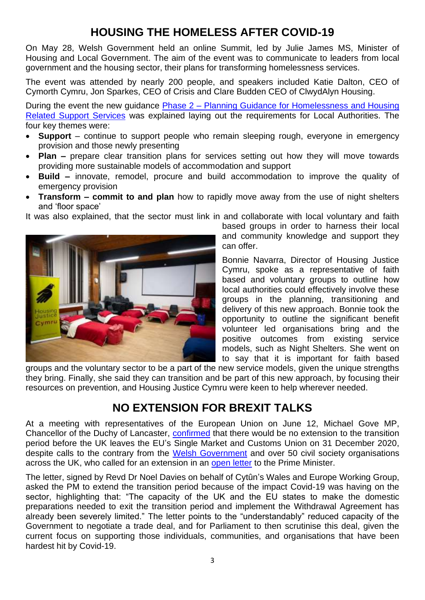# **HOUSING THE HOMELESS AFTER COVID-19**

On May 28, Welsh Government held an online Summit, led by Julie James MS, Minister of Housing and Local Government. The aim of the event was to communicate to leaders from local government and the housing sector, their plans for transforming homelessness services.

The event was attended by nearly 200 people, and speakers included Katie Dalton, CEO of Cymorth Cymru, Jon Sparkes, CEO of Crisis and Clare Budden CEO of ClwydAlyn Housing.

During the event the new guidance Phase 2 - [Planning Guidance for Homelessness](https://gov.wales/continuing-support-homeless-people-during-coronavirus-pandemic-local-authority-guidance) and Housing [Related Support Services](https://gov.wales/continuing-support-homeless-people-during-coronavirus-pandemic-local-authority-guidance) was explained laying out the requirements for Local Authorities. The four key themes were:

- **Support** continue to support people who remain sleeping rough, everyone in emergency provision and those newly presenting
- **Plan –** prepare clear transition plans for services setting out how they will move towards providing more sustainable models of accommodation and support
- **Build –** innovate, remodel, procure and build accommodation to improve the quality of emergency provision
- **Transform – commit to and plan** how to rapidly move away from the use of night shelters and 'floor space'

It was also explained, that the sector must link in and collaborate with local voluntary and faith



based groups in order to harness their local and community knowledge and support they can offer.

Bonnie Navarra, Director of Housing Justice Cymru, spoke as a representative of faith based and voluntary groups to outline how local authorities could effectively involve these groups in the planning, transitioning and delivery of this new approach. Bonnie took the opportunity to outline the significant benefit volunteer led organisations bring and the positive outcomes from existing service models, such as Night Shelters. She went on to say that it is important for faith based

groups and the voluntary sector to be a part of the new service models, given the unique strengths they bring. Finally, she said they can transition and be part of this new approach, by focusing their resources on prevention, and Housing Justice Cymru were keen to help wherever needed.

#### **NO EXTENSION FOR BREXIT TALKS**

At a meeting with representatives of the European Union on June 12, Michael Gove MP, Chancellor of the Duchy of Lancaster, [confirmed](https://assets.publishing.service.gov.uk/government/uploads/system/uploads/attachment_data/file/892141/Letter_from_CDL.pdf) that there would be no extension to the transition period before the UK leaves the EU's Single Market and Customs Union on 31 December 2020, despite calls to the contrary from the [Welsh Government](https://gov.wales/written-statement-eu-transition-period-extension) and over 50 civil society organisations across the UK, who called for an extension in an [open letter](https://brexitcivilsocietyalliance.us17.list-manage.com/track/click?u=c54e40e3c48638d22d060eab9&id=f26ce69bdd&e=dda65d6ee5) to the Prime Minister.

The letter, signed by Revd Dr Noel Davies on behalf of Cytûn's Wales and Europe Working Group, asked the PM to extend the transition period because of the impact Covid-19 was having on the sector, highlighting that: "The capacity of the UK and the EU states to make the domestic preparations needed to exit the transition period and implement the Withdrawal Agreement has already been severely limited." The letter points to the "understandably" reduced capacity of the Government to negotiate a trade deal, and for Parliament to then scrutinise this deal, given the current focus on supporting those individuals, communities, and organisations that have been hardest hit by Covid-19.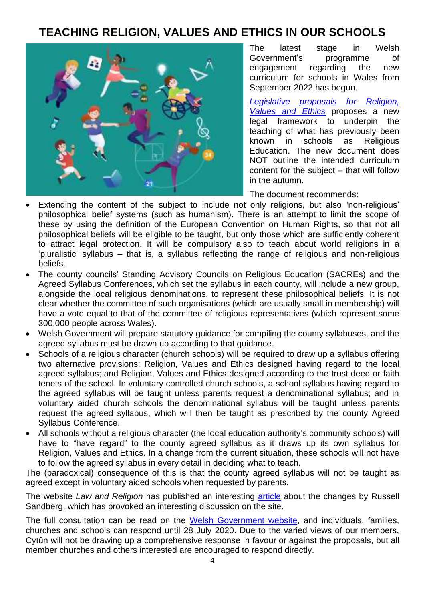#### **TEACHING RELIGION, VALUES AND ETHICS IN OUR SCHOOLS**



The latest stage in Welsh Government's programme of engagement regarding the new curriculum for schools in Wales from September 2022 has begun.

*Legislative [proposals for Religion,](https://gov.wales/sites/default/files/consultations/2020-05/consultation-document-curriculum-for-wales-religion-values-and-ethics_0.pdf)  [Values and Ethics](https://gov.wales/sites/default/files/consultations/2020-05/consultation-document-curriculum-for-wales-religion-values-and-ethics_0.pdf)* proposes a new legal framework to underpin the teaching of what has previously been known in schools as Religious Education. The new document does NOT outline the intended curriculum content for the subject – that will follow in the autumn.

The document recommends:

- Extending the content of the subject to include not only religions, but also 'non-religious' philosophical belief systems (such as humanism). There is an attempt to limit the scope of these by using the definition of the European Convention on Human Rights, so that not all philosophical beliefs will be eligible to be taught, but only those which are sufficiently coherent to attract legal protection. It will be compulsory also to teach about world religions in a 'pluralistic' syllabus – that is, a syllabus reflecting the range of religious and non-religious beliefs.
- The county councils' Standing Advisory Councils on Religious Education (SACREs) and the Agreed Syllabus Conferences, which set the syllabus in each county, will include a new group, alongside the local religious denominations, to represent these philosophical beliefs. It is not clear whether the committee of such organisations (which are usually small in membership) will have a vote equal to that of the committee of religious representatives (which represent some 300,000 people across Wales).
- Welsh Government will prepare statutory guidance for compiling the county syllabuses, and the agreed syllabus must be drawn up according to that guidance.
- Schools of a religious character (church schools) will be required to draw up a syllabus offering two alternative provisions: Religion, Values and Ethics designed having regard to the local agreed syllabus; and Religion, Values and Ethics designed according to the trust deed or faith tenets of the school. In voluntary controlled church schools, a school syllabus having regard to the agreed syllabus will be taught unless parents request a denominational syllabus; and in voluntary aided church schools the denominational syllabus will be taught unless parents request the agreed syllabus, which will then be taught as prescribed by the county Agreed Syllabus Conference.
- All schools without a religious character (the local education authority's community schools) will have to "have regard" to the county agreed syllabus as it draws up its own syllabus for Religion, Values and Ethics. In a change from the current situation, these schools will not have to follow the agreed syllabus in every detail in deciding what to teach.

The (paradoxical) consequence of this is that the county agreed syllabus will not be taught as agreed except in voluntary aided schools when requested by parents.

The website *Law and Religion* has published an interesting [article](https://www.lawandreligionuk.com/2020/05/06/radical-reform-of-religion-values-and-ethics-in-welsh-schools/) about the changes by Russell Sandberg, which has provoked an interesting discussion on the site.

The full consultation can be read on the [Welsh Government website,](https://gov.wales/legislative-proposals-religion-values-and-ethics) and individuals, families, churches and schools can respond until 28 July 2020. Due to the varied views of our members, Cytûn will not be drawing up a comprehensive response in favour or against the proposals, but all member churches and others interested are encouraged to respond directly.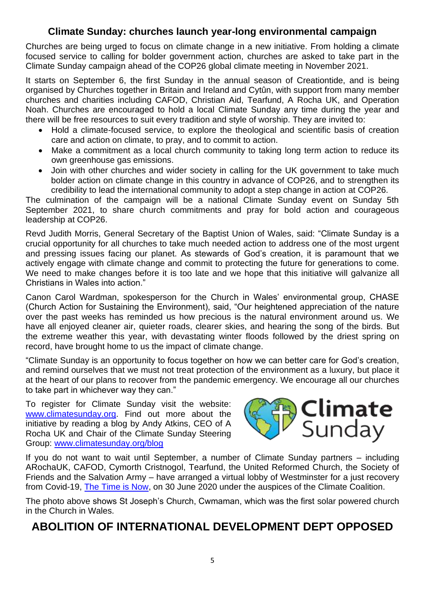#### **Climate Sunday: churches launch year-long environmental campaign**

Churches are being urged to focus on climate change in a new initiative. From holding a climate focused service to calling for bolder government action, churches are asked to take part in the Climate Sunday campaign ahead of the COP26 global climate meeting in November 2021.

It starts on September 6, the first Sunday in the annual season of Creationtide, and is being organised by Churches together in Britain and Ireland and Cytûn, with support from many member churches and charities including CAFOD, Christian Aid, Tearfund, A Rocha UK, and Operation Noah. Churches are encouraged to hold a local Climate Sunday any time during the year and there will be free resources to suit every tradition and style of worship. They are invited to:

- Hold a climate-focused service, to explore the theological and scientific basis of creation care and action on climate, to pray, and to commit to action.
- Make a commitment as a local church community to taking long term action to reduce its own greenhouse gas emissions.
- Join with other churches and wider society in calling for the UK government to take much bolder action on climate change in this country in advance of COP26, and to strengthen its credibility to lead the international community to adopt a step change in action at COP26.

The culmination of the campaign will be a national Climate Sunday event on Sunday 5th September 2021, to share church commitments and pray for bold action and courageous leadership at COP26.

Revd Judith Morris, General Secretary of the Baptist Union of Wales, said: "Climate Sunday is a crucial opportunity for all churches to take much needed action to address one of the most urgent and pressing issues facing our planet. As stewards of God's creation, it is paramount that we actively engage with climate change and commit to protecting the future for generations to come. We need to make changes before it is too late and we hope that this initiative will galvanize all Christians in Wales into action."

Canon Carol Wardman, spokesperson for the Church in Wales' environmental group, CHASE (Church Action for Sustaining the Environment), said, "Our heightened appreciation of the nature over the past weeks has reminded us how precious is the natural environment around us. We have all enjoyed cleaner air, quieter roads, clearer skies, and hearing the song of the birds. But the extreme weather this year, with devastating winter floods followed by the driest spring on record, have brought home to us the impact of climate change.

"Climate Sunday is an opportunity to focus together on how we can better care for God's creation, and remind ourselves that we must not treat protection of the environment as a luxury, but place it at the heart of our plans to recover from the pandemic emergency. We encourage all our churches to take part in whichever way they can."

To register for Climate Sunday visit the website: [www.climatesunday.org.](http://www.climatesunday.org/) Find out more about the initiative by reading a blog by Andy Atkins, CEO of A Rocha UK and Chair of the Climate Sunday Steering Group: [www.climatesunday.org/blog](http://www.climatesunday.org/blog)



If you do not want to wait until September, a number of Climate Sunday partners – including ARochaUK, CAFOD, Cymorth Cristnogol, Tearfund, the United Reformed Church, the Society of Friends and the Salvation Army – have arranged a virtual lobby of Westminster for a just recovery from Covid-19, [The Time is Now,](https://www.theclimatecoalition.org/) on 30 June 2020 under the auspices of the Climate Coalition.

The photo above shows St Joseph's Church, Cwmaman, which was the first solar powered church in the Church in Wales.

#### **ABOLITION OF INTERNATIONAL DEVELOPMENT DEPT OPPOSED**